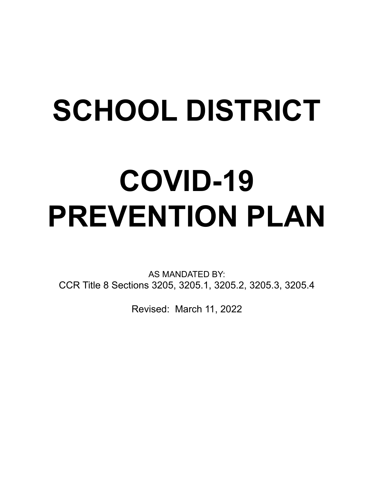# **SCHOOL DISTRICT**

# **COVID-19 PREVENTION PLAN**

AS MANDATED BY: CCR Title 8 Sections 3205, 3205.1, 3205.2, 3205.3, 3205.4

Revised: March 11, 2022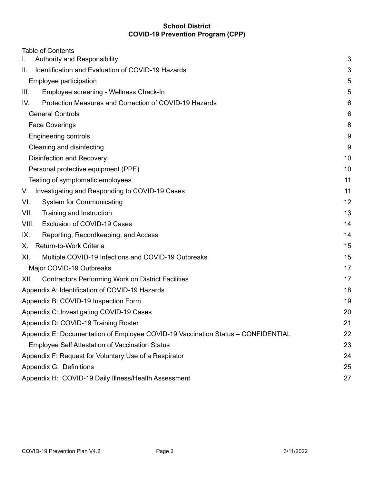| <b>Table of Contents</b>                                                         |    |
|----------------------------------------------------------------------------------|----|
| Authority and Responsibility<br>L.                                               | 3  |
| Identification and Evaluation of COVID-19 Hazards<br>II.                         | 3  |
| Employee participation                                                           | 5  |
| III.<br>Employee screening - Wellness Check-In                                   | 5  |
| Protection Measures and Correction of COVID-19 Hazards<br>IV.                    | 6  |
| <b>General Controls</b>                                                          | 6  |
| <b>Face Coverings</b>                                                            | 8  |
| <b>Engineering controls</b>                                                      | 9  |
| Cleaning and disinfecting                                                        | 9  |
| Disinfection and Recovery                                                        | 10 |
| Personal protective equipment (PPE)                                              | 10 |
| Testing of symptomatic employees                                                 | 11 |
| Investigating and Responding to COVID-19 Cases<br>V.                             | 11 |
| VI.<br><b>System for Communicating</b>                                           | 12 |
| VII.<br>Training and Instruction                                                 | 13 |
| Exclusion of COVID-19 Cases<br>VIII.                                             | 14 |
| Reporting, Recordkeeping, and Access<br>IX.                                      | 14 |
| Return-to-Work Criteria<br>Х.                                                    | 15 |
| Multiple COVID-19 Infections and COVID-19 Outbreaks<br>XI.                       | 15 |
| Major COVID-19 Outbreaks                                                         | 17 |
| <b>Contractors Performing Work on District Facilities</b><br>XII.                | 17 |
| Appendix A: Identification of COVID-19 Hazards                                   | 18 |
| Appendix B: COVID-19 Inspection Form                                             | 19 |
| Appendix C: Investigating COVID-19 Cases                                         | 20 |
| Appendix D: COVID-19 Training Roster                                             | 21 |
| Appendix E: Documentation of Employee COVID-19 Vaccination Status - CONFIDENTIAL | 22 |
| <b>Employee Self Attestation of Vaccination Status</b>                           | 23 |
| Appendix F: Request for Voluntary Use of a Respirator                            | 24 |
| Appendix G: Definitions                                                          | 25 |
| Appendix H: COVID-19 Daily Illness/Health Assessment                             | 27 |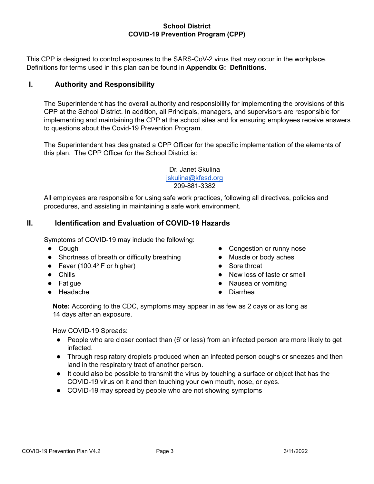This CPP is designed to control exposures to the SARS-CoV-2 virus that may occur in the workplace. Definitions for terms used in this plan can be found in **Appendix G: Definitions**.

#### <span id="page-2-0"></span>**I. Authority and Responsibility**

The Superintendent has the overall authority and responsibility for implementing the provisions of this CPP at the School District. In addition, all Principals, managers, and supervisors are responsible for implementing and maintaining the CPP at the school sites and for ensuring employees receive answers to questions about the Covid-19 Prevention Program.

The Superintendent has designated a CPP Officer for the specific implementation of the elements of this plan. The CPP Officer for the School District is:

> Dr. Janet Skulina [jskulina@kfesd.org](mailto:jskulina@kfesd.org) 209-881-3382

All employees are responsible for using safe work practices, following all directives, policies and procedures, and assisting in maintaining a safe work environment.

#### <span id="page-2-1"></span>**II. Identification and Evaluation of COVID-19 Hazards**

Symptoms of COVID-19 may include the following:

- Cough
- Shortness of breath or difficulty breathing
- Fever (100.4 $\degree$  F or higher)
- Chills
- Fatigue
- Headache
- Congestion or runny nose
- Muscle or body aches
- Sore throat
- New loss of taste or smell
- Nausea or vomiting
- **Diarrhea**

**Note:** According to the CDC, symptoms may appear in as few as 2 days or as long as 14 days after an exposure.

How COVID-19 Spreads:

- People who are closer contact than (6' or less) from an infected person are more likely to get infected.
- Through respiratory droplets produced when an infected person coughs or sneezes and then land in the respiratory tract of another person.
- It could also be possible to transmit the virus by touching a surface or object that has the COVID-19 virus on it and then touching your own mouth, nose, or eyes.
- COVID-19 may spread by people who are not showing symptoms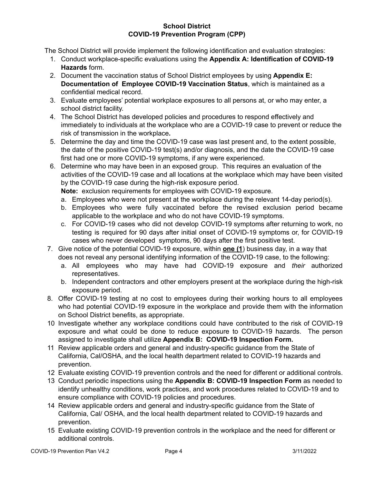The School District will provide implement the following identification and evaluation strategies:

- 1. Conduct workplace-specific evaluations using the **Appendix A: Identification of COVID-19 Hazards** form.
- 2. Document the vaccination status of School District employees by using **Appendix E: Documentation of Employee COVID-19 Vaccination Status**, which is maintained as a confidential medical record.
- 3. Evaluate employees' potential workplace exposures to all persons at, or who may enter, a school district facility.
- 4. The School District has developed policies and procedures to respond effectively and immediately to individuals at the workplace who are a COVID-19 case to prevent or reduce the risk of transmission in the workplace**.**
- 5. Determine the day and time the COVID-19 case was last present and, to the extent possible, the date of the positive COVID-19 test(s) and/or diagnosis, and the date the COVID-19 case first had one or more COVID-19 symptoms, if any were experienced.
- 6. Determine who may have been in an exposed group. This requires an evaluation of the activities of the COVID-19 case and all locations at the workplace which may have been visited by the COVID-19 case during the high-risk exposure period.
	- **Note:** exclusion requirements for employees with COVID-19 exposure.
	- a. Employees who were not present at the workplace during the relevant 14-day period(s).
	- b. Employees who were fully vaccinated before the revised exclusion period became applicable to the workplace and who do not have COVID-19 symptoms.
	- c. For COVID-19 cases who did not develop COVID-19 symptoms after returning to work, no testing is required for 90 days after initial onset of COVID-19 symptoms or, for COVID-19 cases who never developed symptoms, 90 days after the first positive test.
- 7. Give notice of the potential COVID-19 exposure, within **one (1**) business day, in a way that does not reveal any personal identifying information of the COVID-19 case, to the following:
	- a. All employees who may have had COVID-19 exposure and *their* authorized representatives.
	- b. Independent contractors and other employers present at the workplace during the high-risk exposure period.
- 8. Offer COVID-19 testing at no cost to employees during their working hours to all employees who had potential COVID-19 exposure in the workplace and provide them with the information on School District benefits, as appropriate.
- 10 Investigate whether any workplace conditions could have contributed to the risk of COVID-19 exposure and what could be done to reduce exposure to COVID-19 hazards. The person assigned to investigate shall utilize **Appendix B: COVID-19 Inspection Form.**
- 11 Review applicable orders and general and industry-specific guidance from the State of California, Cal/OSHA, and the local health department related to COVID-19 hazards and prevention.
- 12 Evaluate existing COVID-19 prevention controls and the need for different or additional controls.
- 13 Conduct periodic inspections using the **Appendix B: COVID-19 Inspection Form** as needed to identify unhealthy conditions, work practices, and work procedures related to COVID-19 and to ensure compliance with COVID-19 policies and procedures.
- 14 Review applicable orders and general and industry-specific guidance from the State of California, Cal/ OSHA, and the local health department related to COVID-19 hazards and prevention.
- 15 Evaluate existing COVID-19 prevention controls in the workplace and the need for different or additional controls.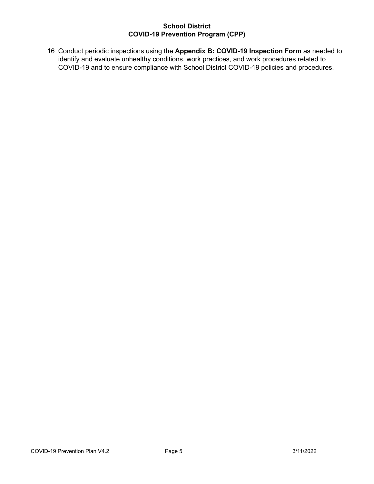16 Conduct periodic inspections using the **Appendix B: COVID-19 Inspection Form** as needed to identify and evaluate unhealthy conditions, work practices, and work procedures related to COVID-19 and to ensure compliance with School District COVID-19 policies and procedures.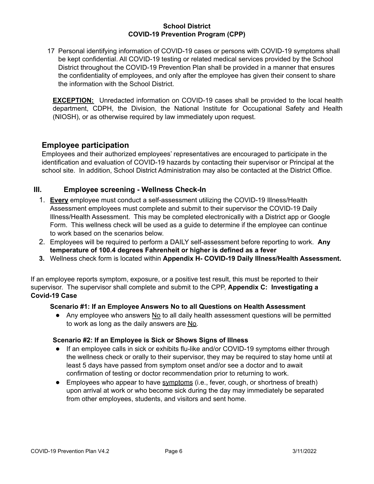17 Personal identifying information of COVID-19 cases or persons with COVID-19 symptoms shall be kept confidential. All COVID-19 testing or related medical services provided by the School District throughout the COVID-19 Prevention Plan shall be provided in a manner that ensures the confidentiality of employees, and only after the employee has given their consent to share the information with the School District.

**EXCEPTION:** Unredacted information on COVID-19 cases shall be provided to the local health department, CDPH, the Division, the National Institute for Occupational Safety and Health (NIOSH), or as otherwise required by law immediately upon request.

## <span id="page-5-0"></span>**Employee participation**

Employees and their authorized employees' representatives are encouraged to participate in the identification and evaluation of COVID-19 hazards by contacting their supervisor or Principal at the school site. In addition, School District Administration may also be contacted at the District Office.

#### <span id="page-5-1"></span>**III. Employee screening - Wellness Check-In**

- 1. **Every** employee must conduct a self-assessment utilizing the COVID-19 Illness/Health Assessment employees must complete and submit to their supervisor the COVID-19 Daily Illness/Health Assessment. This may be completed electronically with a District app or Google Form. This wellness check will be used as a guide to determine if the employee can continue to work based on the scenarios below.
- 2. Employees will be required to perform a DAILY self-assessment before reporting to work. **Any temperature of 100.4 degrees Fahrenheit or higher is defined as a fever**
- **3.** Wellness check form is located within **Appendix H- COVID-19 Daily Illness/Health Assessment.**

If an employee reports symptom, exposure, or a positive test result, this must be reported to their supervisor. The supervisor shall complete and submit to the CPP, **Appendix C: Investigating a Covid-19 Case**

#### **Scenario #1: If an Employee Answers No to all Questions on Health Assessment**

● Any employee who answers No to all daily health assessment questions will be permitted to work as long as the daily answers are No.

#### **Scenario #2: If an Employee is Sick or Shows Signs of Illness**

- If an employee calls in sick or exhibits flu-like and/or COVID-19 symptoms either through the wellness check or orally to their supervisor, they may be required to stay home until at least 5 days have passed from symptom onset and/or see a doctor and to await confirmation of testing or doctor recommendation prior to returning to work.
- Employees who appear to have [symptoms](https://www.cdc.gov/coronavirus/2019-ncov/about/symptoms.html) (i.e., fever, cough, or shortness of breath) upon arrival at work or who become sick during the day may immediately be separated from other employees, students, and visitors and sent home.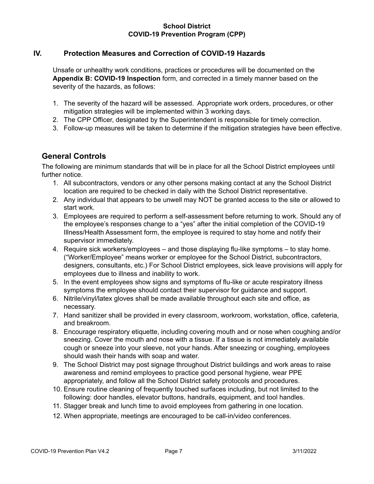### <span id="page-6-0"></span>**IV. Protection Measures and Correction of COVID-19 Hazards**

Unsafe or unhealthy work conditions, practices or procedures will be documented on the **Appendix B: COVID-19 Inspection** form, and corrected in a timely manner based on the severity of the hazards, as follows:

- 1. The severity of the hazard will be assessed. Appropriate work orders, procedures, or other mitigation strategies will be implemented within 3 working days.
- 2. The CPP Officer, designated by the Superintendent is responsible for timely correction.
- 3. Follow-up measures will be taken to determine if the mitigation strategies have been effective.

## <span id="page-6-1"></span>**General Controls**

The following are minimum standards that will be in place for all the School District employees until further notice.

- 1. All subcontractors, vendors or any other persons making contact at any the School District location are required to be checked in daily with the School District representative.
- 2. Any individual that appears to be unwell may NOT be granted access to the site or allowed to start work.
- 3. Employees are required to perform a self-assessment before returning to work. Should any of the employee's responses change to a "yes" after the initial completion of the COVID-19 Illness/Health Assessment form, the employee is required to stay home and notify their supervisor immediately.
- 4. Require sick workers/employees and those displaying flu-like symptoms to stay home. ("Worker/Employee" means worker or employee for the School District, subcontractors, designers, consultants, etc.) For School District employees, sick leave provisions will apply for employees due to illness and inability to work.
- 5. In the event employees show signs and symptoms of flu-like or acute respiratory illness symptoms the employee should contact their supervisor for guidance and support.
- 6. Nitrile/vinyl/latex gloves shall be made available throughout each site and office, as necessary.
- 7. Hand sanitizer shall be provided in every classroom, workroom, workstation, office, cafeteria, and breakroom.
- 8. Encourage respiratory etiquette, including covering mouth and or nose when coughing and/or sneezing. Cover the mouth and nose with a tissue. If a tissue is not immediately available cough or sneeze into your sleeve, not your hands. After sneezing or coughing, employees should wash their hands with soap and water.
- 9. The School District may post signage throughout District buildings and work areas to raise awareness and remind employees to practice good personal hygiene, wear PPE appropriately, and follow all the School District safety protocols and procedures.
- 10. Ensure routine cleaning of frequently touched surfaces including, but not limited to the following: door handles, elevator buttons, handrails, equipment, and tool handles.
- 11. Stagger break and lunch time to avoid employees from gathering in one location.
- 12. When appropriate, meetings are encouraged to be call-in/video conferences.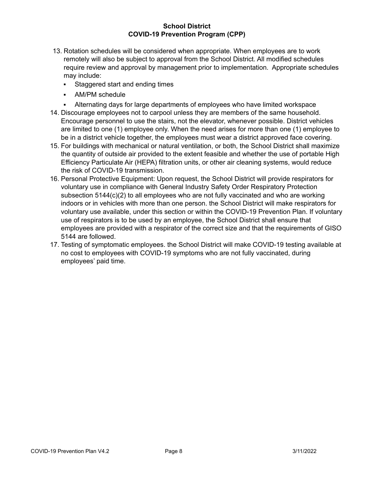- 13. Rotation schedules will be considered when appropriate. When employees are to work remotely will also be subject to approval from the School District. All modified schedules require review and approval by management prior to implementation. Appropriate schedules may include:
	- Staggered start and ending times
	- AM/PM schedule
	- Alternating days for large departments of employees who have limited workspace
- 14. Discourage employees not to carpool unless they are members of the same household. Encourage personnel to use the stairs, not the elevator, whenever possible. District vehicles are limited to one (1) employee only. When the need arises for more than one (1) employee to be in a district vehicle together, the employees must wear a district approved face covering.
- 15. For buildings with mechanical or natural ventilation, or both, the School District shall maximize the quantity of outside air provided to the extent feasible and whether the use of portable High Efficiency Particulate Air (HEPA) filtration units, or other air cleaning systems, would reduce the risk of COVID-19 transmission.
- 16. Personal Protective Equipment: Upon request, the School District will provide respirators for voluntary use in compliance with General Industry Safety Order Respiratory Protection subsection  $5144(c)(2)$  to all employees who are not fully vaccinated and who are working indoors or in vehicles with more than one person. the School District will make respirators for voluntary use available, under this section or within the COVID-19 Prevention Plan. If voluntary use of respirators is to be used by an employee, the School District shall ensure that employees are provided with a respirator of the correct size and that the requirements of GISO 5144 are followed.
- 17. Testing of symptomatic employees. the School District will make COVID-19 testing available at no cost to employees with COVID-19 symptoms who are not fully vaccinated, during employees' paid time.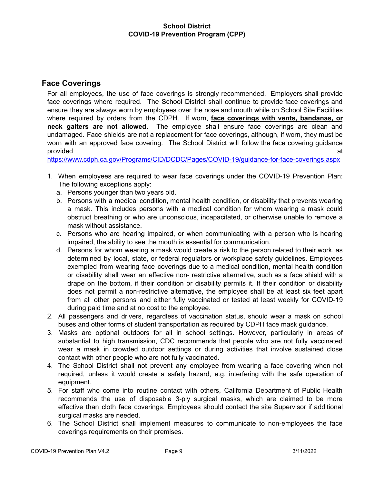## <span id="page-8-0"></span>**Face Coverings**

For all employees, the use of face coverings is strongly recommended. Employers shall provide face coverings where required. The School District shall continue to provide face coverings and ensure they are always worn by employees over the nose and mouth while on School Site Facilities where required by orders from the CDPH. If worn, **face coverings with vents, bandanas, or neck gaiters are not allowed.** The employee shall ensure face coverings are clean and undamaged. Face shields are not a replacement for face coverings, although, if worn, they must be worn with an approved face covering. The School District will follow the face covering guidance provided at the contract of the contract of the contract of the contract of the contract of the contract of the contract of the contract of the contract of the contract of the contract of the contract of the contract of th

<https://www.cdph.ca.gov/Programs/CID/DCDC/Pages/COVID-19/guidance-for-face-coverings.aspx>

- 1. When employees are required to wear face coverings under the COVID-19 Prevention Plan: The following exceptions apply:
	- a. Persons younger than two years old.
	- b. Persons with a medical condition, mental health condition, or disability that prevents wearing a mask. This includes persons with a medical condition for whom wearing a mask could obstruct breathing or who are unconscious, incapacitated, or otherwise unable to remove a mask without assistance.
	- c. Persons who are hearing impaired, or when communicating with a person who is hearing impaired, the ability to see the mouth is essential for communication.
	- d. Persons for whom wearing a mask would create a risk to the person related to their work, as determined by local, state, or federal regulators or workplace safety guidelines. Employees exempted from wearing face coverings due to a medical condition, mental health condition or disability shall wear an effective non- restrictive alternative, such as a face shield with a drape on the bottom, if their condition or disability permits it. If their condition or disability does not permit a non-restrictive alternative, the employee shall be at least six feet apart from all other persons and either fully vaccinated or tested at least weekly for COVID-19 during paid time and at no cost to the employee.
- 2. All passengers and drivers, regardless of vaccination status, should wear a mask on school buses and other forms of student transportation as required by CDPH face mask guidance.
- 3. Masks are optional outdoors for all in school settings. However, particularly in areas of substantial to high transmission, CDC recommends that people who are not fully vaccinated wear a mask in crowded outdoor settings or during activities that involve sustained close contact with other people who are not fully vaccinated.
- 4. The School District shall not prevent any employee from wearing a face covering when not required, unless it would create a safety hazard, e.g. interfering with the safe operation of equipment.
- 5. For staff who come into routine contact with others, California Department of Public Health recommends the use of disposable 3-ply surgical masks, which are claimed to be more effective than cloth face coverings. Employees should contact the site Supervisor if additional surgical masks are needed.
- 6. The School District shall implement measures to communicate to non-employees the face coverings requirements on their premises.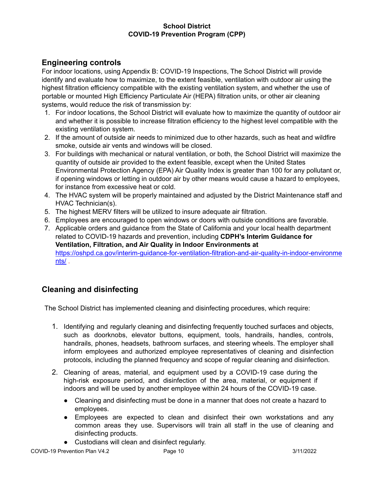## <span id="page-9-0"></span>**Engineering controls**

For indoor locations, using Appendix B: COVID-19 Inspections, The School District will provide identify and evaluate how to maximize, to the extent feasible, ventilation with outdoor air using the highest filtration efficiency compatible with the existing ventilation system, and whether the use of portable or mounted High Efficiency Particulate Air (HEPA) filtration units, or other air cleaning systems, would reduce the risk of transmission by:

- 1. For indoor locations, the School District will evaluate how to maximize the quantity of outdoor air and whether it is possible to increase filtration efficiency to the highest level compatible with the existing ventilation system.
- 2. If the amount of outside air needs to minimized due to other hazards, such as heat and wildfire smoke, outside air vents and windows will be closed.
- 3. For buildings with mechanical or natural ventilation, or both, the School District will maximize the quantity of outside air provided to the extent feasible, except when the United States Environmental Protection Agency (EPA) Air Quality Index is greater than 100 for any pollutant or, if opening windows or letting in outdoor air by other means would cause a hazard to employees, for instance from excessive heat or cold.
- 4. The HVAC system will be properly maintained and adjusted by the District Maintenance staff and HVAC Technician(s).
- 5. The highest MERV filters will be utilized to insure adequate air filtration.
- 6. Employees are encouraged to open windows or doors with outside conditions are favorable.
- 7. Applicable orders and guidance from the State of California and your local health department related to COVID-19 hazards and prevention, including **CDPH's Interim [Guidance](https://www.cdph.ca.gov/Programs/CID/DCDC/Pages/COVID-19/Interim-Guidance-for-Ventilation-Filtration-and-Air-Quality-in-Indoor-Environments.aspx) for [Ventilation,](https://www.cdph.ca.gov/Programs/CID/DCDC/Pages/COVID-19/Interim-Guidance-for-Ventilation-Filtration-and-Air-Quality-in-Indoor-Environments.aspx) Filtration, and Air Quality in Indoor [Environments](https://www.cdph.ca.gov/Programs/CID/DCDC/Pages/COVID-19/Interim-Guidance-for-Ventilation-Filtration-and-Air-Quality-in-Indoor-Environments.aspx) at** [https://oshpd.ca.gov/interim-guidance-for-ventilation-filtration-and-air-quality-in-indoor-environme](https://oshpd.ca.gov/interim-guidance-for-ventilation-filtration-and-air-quality-in-indoor-environments/) [nts/](https://oshpd.ca.gov/interim-guidance-for-ventilation-filtration-and-air-quality-in-indoor-environments/) .

# <span id="page-9-1"></span>**Cleaning and disinfecting**

The School District has implemented cleaning and disinfecting procedures, which require:

- 1. Identifying and regularly cleaning and disinfecting frequently touched surfaces and objects, such as doorknobs, elevator buttons, equipment, tools, handrails, handles, controls, handrails, phones, headsets, bathroom surfaces, and steering wheels. The employer shall inform employees and authorized employee representatives of cleaning and disinfection protocols, including the planned frequency and scope of regular cleaning and disinfection.
- 2. Cleaning of areas, material, and equipment used by a COVID-19 case during the high-risk exposure period, and disinfection of the area, material, or equipment if indoors and will be used by another employee within 24 hours of the COVID-19 case.
	- Cleaning and disinfecting must be done in a manner that does not create a hazard to employees.
	- Employees are expected to clean and disinfect their own workstations and any common areas they use. Supervisors will train all staff in the use of cleaning and disinfecting products.
	- Custodians will clean and disinfect regularly.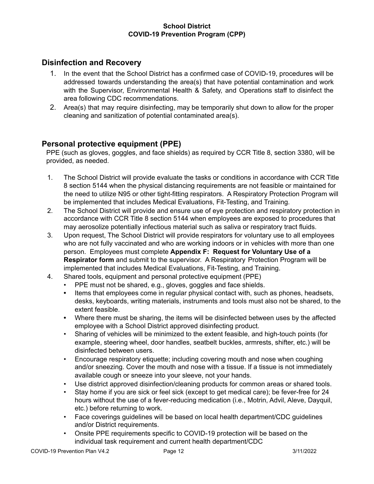## <span id="page-11-0"></span>**Disinfection and Recovery**

- 1. In the event that the School District has a confirmed case of COVID-19, procedures will be addressed towards understanding the area(s) that have potential contamination and work with the Supervisor, Environmental Health & Safety, and Operations staff to disinfect the area following CDC recommendations.
- 2. Area(s) that may require disinfecting, may be temporarily shut down to allow for the proper cleaning and sanitization of potential contaminated area(s).

## <span id="page-11-1"></span>**Personal protective equipment (PPE)**

PPE (such as gloves, goggles, and face shields) as required by CCR Title 8, section 3380, will be provided, as needed.

- 1. The School District will provide evaluate the tasks or conditions in accordance with CCR Title 8 section 5144 when the physical distancing requirements are not feasible or maintained for the need to utilize N95 or other tight-fitting respirators. A Respiratory Protection Program will be implemented that includes Medical Evaluations, Fit-Testing, and Training.
- 2. The School District will provide and ensure use of eye protection and respiratory protection in accordance with CCR Title 8 section 5144 when employees are exposed to procedures that may aerosolize potentially infectious material such as saliva or respiratory tract fluids.
- 3. Upon request, The School District will provide respirators for voluntary use to all employees who are not fully vaccinated and who are working indoors or in vehicles with more than one person. Employees must complete **Appendix F: Request for Voluntary Use of a Respirator form** and submit to the supervisor. A Respiratory Protection Program will be implemented that includes Medical Evaluations, Fit-Testing, and Training.
- 4. Shared tools, equipment and personal protective equipment (PPE)
	- PPE must not be shared, e.g., gloves, goggles and face shields.
	- **•** Items that employees come in regular physical contact with, such as phones, headsets, desks, keyboards, writing materials, instruments and tools must also not be shared, to the extent feasible.
	- **•** Where there must be sharing, the items will be disinfected between uses by the affected employee with a School District approved disinfecting product.
	- Sharing of vehicles will be minimized to the extent feasible, and high-touch points (for example, steering wheel, door handles, seatbelt buckles, armrests, shifter, etc.) will be disinfected between users.
	- Encourage respiratory etiquette; including covering mouth and nose when coughing and/or sneezing. Cover the mouth and nose with a tissue. If a tissue is not immediately available cough or sneeze into your sleeve, not your hands.
	- Use district approved disinfection/cleaning products for common areas or shared tools.
	- Stay home if you are sick or feel sick (except to get medical care); be fever-free for 24 hours without the use of a fever-reducing medication (i.e., Motrin, Advil, Aleve, Dayquil, etc.) before returning to work.
	- Face coverings guidelines will be based on local health department/CDC guidelines and/or District requirements.
	- Onsite PPE requirements specific to COVID-19 protection will be based on the individual task requirement and current health department/CDC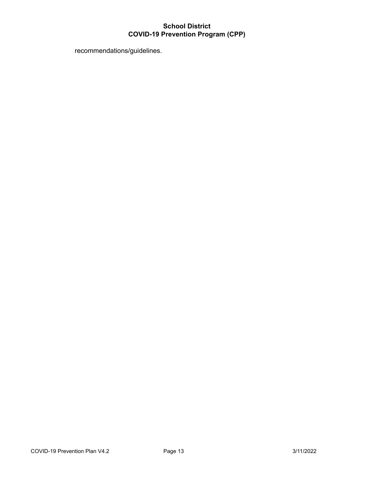recommendations/guidelines.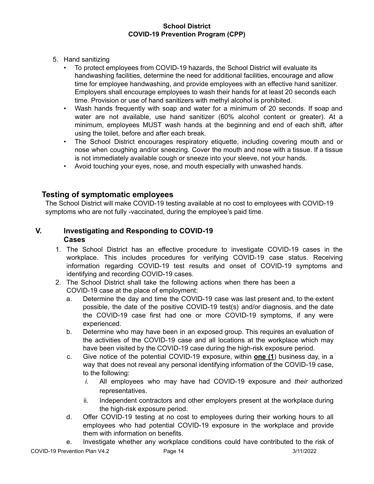- 5. Hand sanitizing
	- To protect employees from COVID-19 hazards, the School District will evaluate its handwashing facilities, determine the need for additional facilities, encourage and allow time for employee handwashing, and provide employees with an effective hand sanitizer. Employers shall encourage employees to wash their hands for at least 20 seconds each time. Provision or use of hand sanitizers with methyl alcohol is prohibited.
	- Wash hands frequently with soap and water for a minimum of 20 seconds. If soap and water are not available, use hand sanitizer (60% alcohol content or greater). At a minimum, employees MUST wash hands at the beginning and end of each shift, after using the toilet, before and after each break.
	- The School District encourages respiratory etiquette, including covering mouth and or nose when coughing and/or sneezing. Cover the mouth and nose with a tissue. If a tissue is not immediately available cough or sneeze into your sleeve, not your hands.
	- Avoid touching your eyes, nose, and mouth especially with unwashed hands.

## <span id="page-13-0"></span>**Testing of symptomatic employees**

The School District will make COVID-19 testing available at no cost to employees with COVID-19 symptoms who are not fully -vaccinated, during the employee's paid time.

## <span id="page-13-1"></span>**V. Investigating and Responding to COVID-19 Cases**

- 1. The School District has an effective procedure to investigate COVID-19 cases in the workplace. This includes procedures for verifying COVID-19 case status. Receiving information regarding COVID-19 test results and onset of COVID-19 symptoms and identifying and recording COVID-19 cases.
- 2. The School District shall take the following actions when there has been a COVID-19 case at the place of employment:
	- a. Determine the day and time the COVID-19 case was last present and, to the extent possible, the date of the positive COVID-19 test(s) and/or diagnosis, and the date the COVID-19 case first had one or more COVID-19 symptoms, if any were experienced.
	- b. Determine who may have been in an exposed group. This requires an evaluation of the activities of the COVID-19 case and all locations at the workplace which may have been visited by the COVID-19 case during the high-risk exposure period.
	- c. Give notice of the potential COVID-19 exposure, within **one (1**) business day, in a way that does not reveal any personal identifying information of the COVID-19 case, to the following:
		- *i.* All employees who may have had COVID-19 exposure and *their* authorized representatives.
		- ii. Independent contractors and other employers present at the workplace during the high-risk exposure period.
	- d. Offer COVID-19 testing at no cost to employees during their working hours to all employees who had potential COVID-19 exposure in the workplace and provide them with information on benefits.
	- e. Investigate whether any workplace conditions could have contributed to the risk of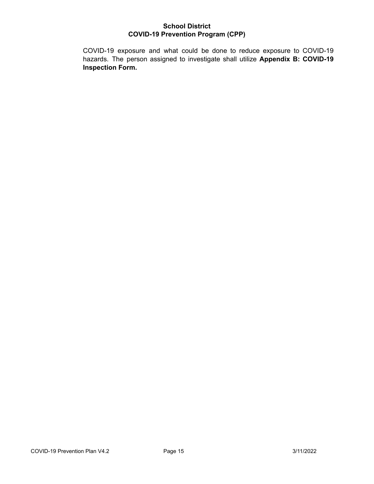COVID-19 exposure and what could be done to reduce exposure to COVID-19 hazards. The person assigned to investigate shall utilize **Appendix B: COVID-19 Inspection Form.**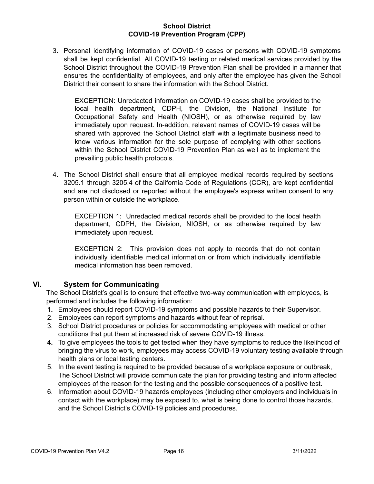3. Personal identifying information of COVID-19 cases or persons with COVID-19 symptoms shall be kept confidential. All COVID-19 testing or related medical services provided by the School District throughout the COVID-19 Prevention Plan shall be provided in a manner that ensures the confidentiality of employees, and only after the employee has given the School District their consent to share the information with the School District.

EXCEPTION: Unredacted information on COVID-19 cases shall be provided to the local health department, CDPH, the Division, the National Institute for Occupational Safety and Health (NIOSH), or as otherwise required by law immediately upon request. In-addition, relevant names of COVID-19 cases will be shared with approved the School District staff with a legitimate business need to know various information for the sole purpose of complying with other sections within the School District COVID-19 Prevention Plan as well as to implement the prevailing public health protocols.

4. The School District shall ensure that all employee medical records required by sections 3205.1 through 3205.4 of the California Code of Regulations (CCR), are kept confidential and are not disclosed or reported without the employee's express written consent to any person within or outside the workplace.

EXCEPTION 1: Unredacted medical records shall be provided to the local health department, CDPH, the Division, NIOSH, or as otherwise required by law immediately upon request.

EXCEPTION 2: This provision does not apply to records that do not contain individually identifiable medical information or from which individually identifiable medical information has been removed.

#### <span id="page-15-0"></span>**VI. System for Communicating**

The School District's goal is to ensure that effective two-way communication with employees, is performed and includes the following information:

- **1.** Employees should report COVID-19 symptoms and possible hazards to their Supervisor.
- 2. Employees can report symptoms and hazards without fear of reprisal.
- 3. School District procedures or policies for accommodating employees with medical or other conditions that put them at increased risk of severe COVID-19 illness.
- **4.** To give employees the tools to get tested when they have symptoms to reduce the likelihood of bringing the virus to work, employees may access COVID-19 voluntary testing available through health plans or local testing centers.
- 5. In the event testing is required to be provided because of a workplace exposure or outbreak, The School District will provide communicate the plan for providing testing and inform affected employees of the reason for the testing and the possible consequences of a positive test.
- 6. Information about COVID-19 hazards employees (including other employers and individuals in contact with the workplace) may be exposed to, what is being done to control those hazards, and the School District's COVID-19 policies and procedures.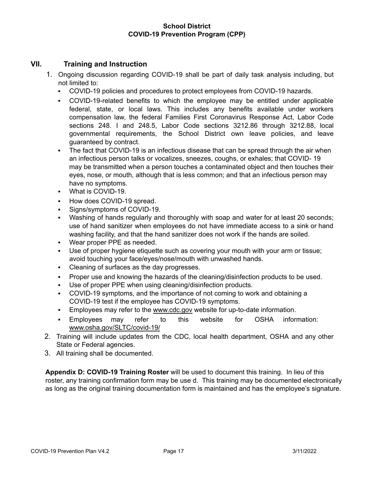### <span id="page-16-0"></span>**VII. Training and Instruction**

- 1. Ongoing discussion regarding COVID-19 shall be part of daily task analysis including, but not limited to:
	- COVID-19 policies and procedures to protect employees from COVID-19 hazards.
	- COVID-19-related benefits to which the employee may be entitled under applicable federal, state, or local laws. This includes any benefits available under workers compensation law, the federal Families First Coronavirus Response Act, Labor Code sections 248. I and 248.5, Labor Code sections 3212.86 through 3212.88, local governmental requirements, the School District own leave policies, and leave guaranteed by contract.
	- The fact that COVID-19 is an infectious disease that can be spread through the air when an infectious person talks or vocalizes, sneezes, coughs, or exhales; that COVID- 19 may be transmitted when a person touches a contaminated object and then touches their eyes, nose, or mouth, although that is less common; and that an infectious person may have no symptoms.
	- What is COVID-19.
	- How does COVID-19 spread.
	- Signs/symptoms of COVID-19.
	- Washing of hands regularly and thoroughly with soap and water for at least 20 seconds; use of hand sanitizer when employees do not have immediate access to a sink or hand washing facility, and that the hand sanitizer does not work if the hands are soiled.
	- Wear proper PPE as needed.
	- Use of proper hygiene etiquette such as covering your mouth with your arm or tissue; avoid touching your face/eyes/nose/mouth with unwashed hands.
	- Cleaning of surfaces as the day progresses.
	- Proper use and knowing the hazards of the cleaning/disinfection products to be used.
	- Use of proper PPE when using cleaning/disinfection products.
	- COVID-19 symptoms, and the importance of not coming to work and obtaining a COVID-19 test if the employee has COVID-19 symptoms.
	- Employees may refer to the [www.cdc.gov](http://www.cdc.gov/) website for up-to-date information.
	- Employees may refer to this website for OSHA information[:](http://www.osha.gov/SLTC/covid-19/) [www.osha.gov/SLTC/covid-19/](http://www.osha.gov/SLTC/covid-19/)
- 2. Training will include updates from the CDC, local health department, OSHA and any other State or Federal agencies.
- 3. All training shall be documented.

**Appendix D: COVID-19 Training Roster** will be used to document this training. In lieu of this roster, any training confirmation form may be use d. This training may be documented electronically as long as the original training documentation form is maintained and has the employee's signature.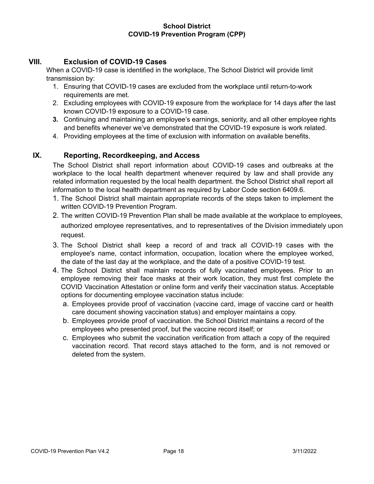## <span id="page-17-0"></span>**VIII. Exclusion of COVID-19 Cases**

When a COVID-19 case is identified in the workplace, The School District will provide limit transmission by:

- 1. Ensuring that COVID-19 cases are excluded from the workplace until return-to-work requirements are met.
- 2. Excluding employees with COVID-19 exposure from the workplace for 14 days after the last known COVID-19 exposure to a COVID-19 case.
- **3.** Continuing and maintaining an employee's earnings, seniority, and all other employee rights and benefits whenever we've demonstrated that the COVID-19 exposure is work related.
- 4. Providing employees at the time of exclusion with information on available benefits.

#### <span id="page-17-1"></span>**IX. Reporting, Recordkeeping, and Access**

The School District shall report information about COVID-19 cases and outbreaks at the workplace to the local health department whenever required by law and shall provide any related information requested by the local health department. the School District shall report all information to the local health department as required by Labor Code section 6409.6.

- 1. The School District shall maintain appropriate records of the steps taken to implement the written COVID-19 Prevention Program.
- 2. The written COVID-19 Prevention Plan shall be made available at the workplace to employees, authorized employee representatives, and to representatives of the Division immediately upon request.
- 3. The School District shall keep a record of and track all COVID-19 cases with the employee's name, contact information, occupation, location where the employee worked, the date of the last day at the workplace, and the date of a positive COVID-19 test.
- 4. The School District shall maintain records of fully vaccinated employees. Prior to an employee removing their face masks at their work location, they must first complete the COVID Vaccination Attestation or online form and verify their vaccination status. Acceptable options for documenting employee vaccination status include:
	- a. Employees provide proof of vaccination (vaccine card, image of vaccine card or health care document showing vaccination status) and employer maintains a copy.
	- b. Employees provide proof of vaccination. the School District maintains a record of the employees who presented proof, but the vaccine record itself; or
	- c. Employees who submit the vaccination verification from attach a copy of the required vaccination record. That record stays attached to the form, and is not removed or deleted from the system.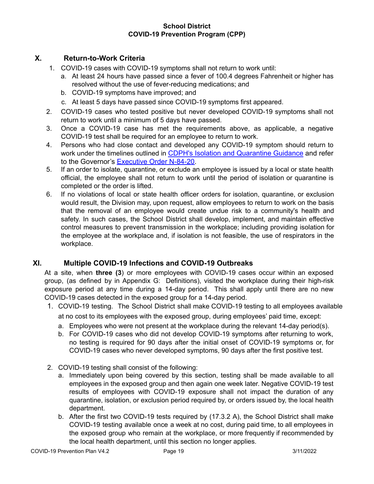## <span id="page-18-0"></span>**X. Return-to-Work Criteria**

- 1. COVID-19 cases with COVID-19 symptoms shall not return to work until:
	- a. At least 24 hours have passed since a fever of 100.4 degrees Fahrenheit or higher has resolved without the use of fever-reducing medications; and
	- b. COVID-19 symptoms have improved; and
	- c. At least 5 days have passed since COVID-19 symptoms first appeared.
- 2. COVID-19 cases who tested positive but never developed COVID-19 symptoms shall not return to work until a minimum of 5 days have passed.
- 3. Once a COVID-19 case has met the requirements above, as applicable, a negative COVID-19 test shall be required for an employee to return to work.
- 4. Persons who had close contact and developed any COVID-19 symptom should return to work under the timelines outlined in CDPH's Isolation and [Quarantine](https://www.dir.ca.gov/dosh/dosh_publications/Isolation-and-Quarantine-fs.pdf) Guidance and refer to the Governor's [Executive](https://www.dir.ca.gov/dosh/dosh_publications/Isolation-and-Quarantine-fs.pdf) Order N-84-20.
- 5. If an order to isolate, quarantine, or exclude an employee is issued by a local or state health official, the employee shall not return to work until the period of isolation or quarantine is completed or the order is lifted.
- 6. If no violations of local or state health officer orders for isolation, quarantine, or exclusion would result, the Division may, upon request, allow employees to return to work on the basis that the removal of an employee would create undue risk to a community's health and safety. In such cases, the School District shall develop, implement, and maintain effective control measures to prevent transmission in the workplace; including providing isolation for the employee at the workplace and, if isolation is not feasible, the use of respirators in the workplace.

## <span id="page-18-1"></span>**XI. Multiple COVID-19 Infections and COVID-19 Outbreaks**

At a site, when **three (3**) or more employees with COVID-19 cases occur within an exposed group, (as defined by in Appendix G: Definitions), visited the workplace during their high-risk exposure period at any time during a 14-day period. This shall apply until there are no new COVID-19 cases detected in the exposed group for a 14-day period.

- 1. COVID-19 testing. The School District shall make COVID-19 testing to all employees available at no cost to its employees with the exposed group, during employees' paid time, except:
	- a. Employees who were not present at the workplace during the relevant 14-day period(s).
	- b. For COVID-19 cases who did not develop COVID-19 symptoms after returning to work, no testing is required for 90 days after the initial onset of COVID-19 symptoms or, for COVID-19 cases who never developed symptoms, 90 days after the first positive test.
- 2. COVID-19 testing shall consist of the following:
	- a. Immediately upon being covered by this section, testing shall be made available to all employees in the exposed group and then again one week later. Negative COVID-19 test results of employees with COVID-19 exposure shall not impact the duration of any quarantine, isolation, or exclusion period required by, or orders issued by, the local health department.
	- b. After the first two COVID-19 tests required by (17.3.2 A), the School District shall make COVID-19 testing available once a week at no cost, during paid time, to all employees in the exposed group who remain at the workplace, or more frequently if recommended by the local health department, until this section no longer applies.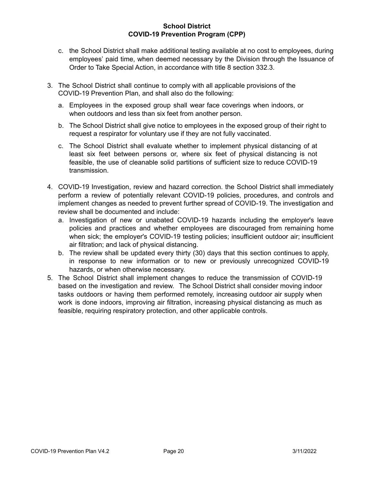- c. the School District shall make additional testing available at no cost to employees, during employees' paid time, when deemed necessary by the Division through the Issuance of Order to Take Special Action, in accordance with title 8 section 332.3.
- 3. The School District shall continue to comply with all applicable provisions of the COVID-19 Prevention Plan, and shall also do the following:
	- a. Employees in the exposed group shall wear face coverings when indoors, or when outdoors and less than six feet from another person.
	- b. The School District shall give notice to employees in the exposed group of their right to request a respirator for voluntary use if they are not fully vaccinated.
	- c. The School District shall evaluate whether to implement physical distancing of at least six feet between persons or, where six feet of physical distancing is not feasible, the use of cleanable solid partitions of sufficient size to reduce COVID-19 transmission.
- 4. COVID-19 Investigation, review and hazard correction. the School District shall immediately perform a review of potentially relevant COVID-19 policies, procedures, and controls and implement changes as needed to prevent further spread of COVID-19. The investigation and review shall be documented and include:
	- a. Investigation of new or unabated COVID-19 hazards including the employer's leave policies and practices and whether employees are discouraged from remaining home when sick; the employer's COVID-19 testing policies; insufficient outdoor air; insufficient air filtration; and lack of physical distancing.
	- b. The review shall be updated every thirty (30) days that this section continues to apply, in response to new information or to new or previously unrecognized COVID-19 hazards, or when otherwise necessary.
- 5. The School District shall implement changes to reduce the transmission of COVID-19 based on the investigation and review. The School District shall consider moving indoor tasks outdoors or having them performed remotely, increasing outdoor air supply when work is done indoors, improving air filtration, increasing physical distancing as much as feasible, requiring respiratory protection, and other applicable controls.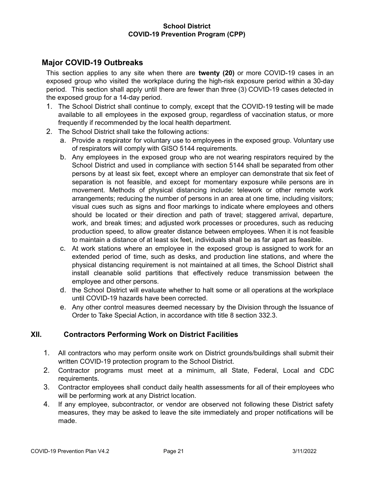## <span id="page-20-0"></span>**Major COVID-19 Outbreaks**

This section applies to any site when there are **twenty (20)** or more COVID-19 cases in an exposed group who visited the workplace during the high-risk exposure period within a 30-day period. This section shall apply until there are fewer than three (3) COVID-19 cases detected in the exposed group for a 14-day period.

- 1. The School District shall continue to comply, except that the COVID-19 testing will be made available to all employees in the exposed group, regardless of vaccination status, or more frequently if recommended by the local health department.
- 2. The School District shall take the following actions:
	- a. Provide a respirator for voluntary use to employees in the exposed group. Voluntary use of respirators will comply with GISO 5144 requirements.
	- b. Any employees in the exposed group who are not wearing respirators required by the School District and used in compliance with section 5144 shall be separated from other persons by at least six feet, except where an employer can demonstrate that six feet of separation is not feasible, and except for momentary exposure while persons are in movement. Methods of physical distancing include: telework or other remote work arrangements; reducing the number of persons in an area at one time, including visitors; visual cues such as signs and floor markings to indicate where employees and others should be located or their direction and path of travel; staggered arrival, departure, work, and break times; and adjusted work processes or procedures, such as reducing production speed, to allow greater distance between employees. When it is not feasible to maintain a distance of at least six feet, individuals shall be as far apart as feasible.
	- c. At work stations where an employee in the exposed group is assigned to work for an extended period of time, such as desks, and production line stations, and where the physical distancing requirement is not maintained at all times, the School District shall install cleanable solid partitions that effectively reduce transmission between the employee and other persons.
	- d. the School District will evaluate whether to halt some or all operations at the workplace until COVID-19 hazards have been corrected.
	- e. Any other control measures deemed necessary by the Division through the Issuance of Order to Take Special Action, in accordance with title 8 section 332.3.

#### <span id="page-20-1"></span>**XII. Contractors Performing Work on District Facilities**

- 1. All contractors who may perform onsite work on District grounds/buildings shall submit their written COVID-19 protection program to the School District.
- 2. Contractor programs must meet at a minimum, all State, Federal, Local and CDC requirements.
- 3. Contractor employees shall conduct daily health assessments for all of their employees who will be performing work at any District location.
- 4. If any employee, subcontractor, or vendor are observed not following these District safety measures, they may be asked to leave the site immediately and proper notifications will be made.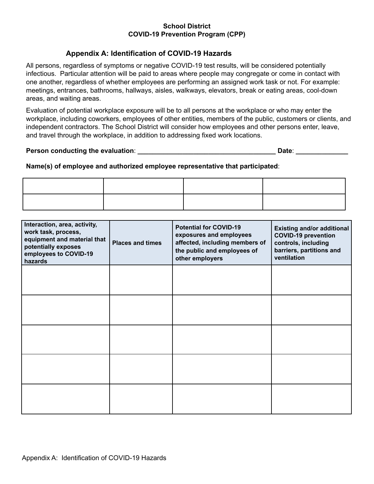## **Appendix A: Identification of COVID-19 Hazards**

<span id="page-21-0"></span>All persons, regardless of symptoms or negative COVID-19 test results, will be considered potentially infectious. Particular attention will be paid to areas where people may congregate or come in contact with one another, regardless of whether employees are performing an assigned work task or not. For example: meetings, entrances, bathrooms, hallways, aisles, walkways, elevators, break or eating areas, cool-down areas, and waiting areas.

Evaluation of potential workplace exposure will be to all persons at the workplace or who may enter the workplace, including coworkers, employees of other entities, members of the public, customers or clients, and independent contractors. The School District will consider how employees and other persons enter, leave, and travel through the workplace, in addition to addressing fixed work locations.

#### **Person conducting the evaluation**: **\_\_\_\_\_\_\_\_\_\_\_\_\_\_\_\_\_\_\_\_\_\_\_\_\_\_\_\_\_\_\_\_\_\_\_\_\_ Date**: **\_\_\_\_\_\_\_\_\_\_\_\_\_\_**

#### **Name(s) of employee and authorized employee representative that participated**:

| Interaction, area, activity,<br>work task, process,<br>equipment and material that<br>potentially exposes<br>employees to COVID-19<br>hazards | <b>Places and times</b> | <b>Potential for COVID-19</b><br>exposures and employees<br>affected, including members of<br>the public and employees of<br>other employers | <b>Existing and/or additional</b><br><b>COVID-19 prevention</b><br>controls, including<br>barriers, partitions and<br>ventilation |
|-----------------------------------------------------------------------------------------------------------------------------------------------|-------------------------|----------------------------------------------------------------------------------------------------------------------------------------------|-----------------------------------------------------------------------------------------------------------------------------------|
|                                                                                                                                               |                         |                                                                                                                                              |                                                                                                                                   |
|                                                                                                                                               |                         |                                                                                                                                              |                                                                                                                                   |
|                                                                                                                                               |                         |                                                                                                                                              |                                                                                                                                   |
|                                                                                                                                               |                         |                                                                                                                                              |                                                                                                                                   |
|                                                                                                                                               |                         |                                                                                                                                              |                                                                                                                                   |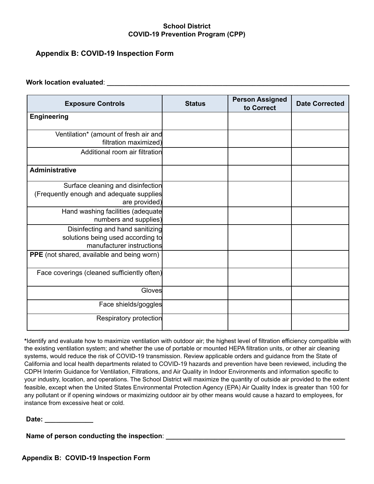## <span id="page-22-0"></span>**Appendix B: COVID-19 Inspection Form**

#### **Work location evaluated**: **\_\_\_\_\_\_\_\_\_\_\_\_\_\_\_\_\_\_\_\_\_\_\_\_\_\_\_\_\_\_\_\_\_\_\_\_\_\_\_\_\_\_\_\_\_\_\_\_\_\_\_\_\_\_\_\_\_\_\_\_\_\_\_\_\_**

| <b>Exposure Controls</b>                                                                           | <b>Status</b> | <b>Person Assigned</b><br>to Correct | <b>Date Corrected</b> |
|----------------------------------------------------------------------------------------------------|---------------|--------------------------------------|-----------------------|
| <b>Engineering</b>                                                                                 |               |                                      |                       |
| Ventilation* (amount of fresh air and<br>filtration maximized)                                     |               |                                      |                       |
| Additional room air filtration                                                                     |               |                                      |                       |
| <b>Administrative</b>                                                                              |               |                                      |                       |
| Surface cleaning and disinfection<br>(Frequently enough and adequate supplies<br>are provided)     |               |                                      |                       |
| Hand washing facilities (adequate<br>numbers and supplies)                                         |               |                                      |                       |
| Disinfecting and hand sanitizing<br>solutions being used according to<br>manufacturer instructions |               |                                      |                       |
| PPE (not shared, available and being worn)                                                         |               |                                      |                       |
| Face coverings (cleaned sufficiently often)                                                        |               |                                      |                       |
| Gloves                                                                                             |               |                                      |                       |
| Face shields/goggles                                                                               |               |                                      |                       |
| Respiratory protection                                                                             |               |                                      |                       |

**\***Identify and evaluate how to maximize ventilation with outdoor air; the highest level of filtration efficiency compatible with the existing ventilation system; and whether the use of portable or mounted HEPA filtration units, or other air cleaning systems, would reduce the risk of COVID-19 transmission. Review applicable orders and guidance from the State of California and local health departments related to COVID-19 hazards and prevention have been reviewed, including the CDPH Interim Guidance for Ventilation, Filtrations, and Air Quality in Indoor Environments and information specific to your industry, location, and operations. The School District will maximize the quantity of outside air provided to the extent feasible, except when the United States Environmental Protection Agency (EPA) Air Quality Index is greater than 100 for any pollutant or if opening windows or maximizing outdoor air by other means would cause a hazard to employees, for instance from excessive heat or cold.

**Date: \_\_\_\_\_\_\_\_\_\_\_\_\_**

**Name of person conducting the inspection**: **\_\_\_\_\_\_\_\_\_\_\_\_\_\_\_\_\_\_\_\_\_\_\_\_\_\_\_\_\_\_\_\_\_\_\_\_\_\_\_\_\_\_\_\_\_\_\_\_**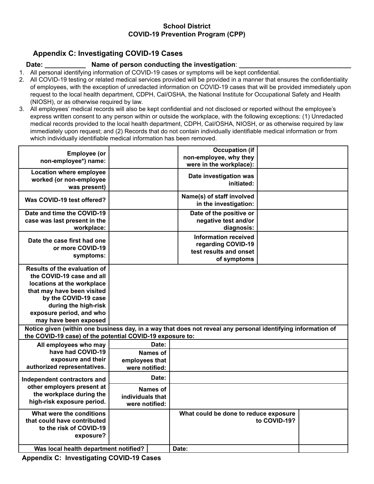## <span id="page-23-0"></span>**Appendix C: Investigating COVID-19 Cases**

#### **Date: \_\_\_\_\_\_\_\_\_\_\_ Name of person conducting the investigation**: **\_\_\_\_\_\_\_\_\_\_\_\_\_\_\_\_\_\_\_\_\_\_\_\_\_\_\_\_\_\_**

1. All personal identifying information of COVID-19 cases or symptoms will be kept confidential.

- 2. All COVID-19 testing or related medical services provided will be provided in a manner that ensures the confidentiality of employees, with the exception of unredacted information on COVID-19 cases that will be provided immediately upon request to the local health department, CDPH, Cal/OSHA, the National Institute for Occupational Safety and Health (NIOSH), or as otherwise required by law.
- 3. All employees' medical records will also be kept confidential and not disclosed or reported without the employee's express written consent to any person within or outside the workplace, with the following exceptions: (1) Unredacted medical records provided to the local health department, CDPH, Cal/OSHA, NIOSH, or as otherwise required by law immediately upon request; and (2) Records that do not contain individually identifiable medical information or from which individually identifiable medical information has been removed.

| <b>Employee</b> (or<br>non-employee*) name:                                                                                                                                                                                       |                                                | <b>Occupation (if</b><br>non-employee, why they<br>were in the workplace):                                   |              |  |
|-----------------------------------------------------------------------------------------------------------------------------------------------------------------------------------------------------------------------------------|------------------------------------------------|--------------------------------------------------------------------------------------------------------------|--------------|--|
| Location where employee<br>worked (or non-employee<br>was present)                                                                                                                                                                |                                                | Date investigation was<br>initiated:                                                                         |              |  |
| Was COVID-19 test offered?                                                                                                                                                                                                        |                                                | Name(s) of staff involved<br>in the investigation:                                                           |              |  |
| Date and time the COVID-19<br>case was last present in the<br>workplace:                                                                                                                                                          |                                                | Date of the positive or<br>negative test and/or<br>diagnosis:                                                |              |  |
| Date the case first had one<br>or more COVID-19<br>symptoms:                                                                                                                                                                      |                                                | <b>Information received</b><br>regarding COVID-19<br>test results and onset<br>of symptoms                   |              |  |
| <b>Results of the evaluation of</b><br>the COVID-19 case and all<br>locations at the workplace<br>that may have been visited<br>by the COVID-19 case<br>during the high-risk<br>exposure period, and who<br>may have been exposed |                                                |                                                                                                              |              |  |
| the COVID-19 case) of the potential COVID-19 exposure to:                                                                                                                                                                         |                                                | Notice given (within one business day, in a way that does not reveal any personal identifying information of |              |  |
| All employees who may<br>have had COVID-19                                                                                                                                                                                        | Date:<br><b>Names of</b>                       |                                                                                                              |              |  |
| exposure and their<br>authorized representatives.                                                                                                                                                                                 | employees that<br>were notified:               |                                                                                                              |              |  |
| Independent contractors and                                                                                                                                                                                                       | Date:                                          |                                                                                                              |              |  |
| other employers present at<br>the workplace during the<br>high-risk exposure period.                                                                                                                                              | Names of<br>individuals that<br>were notified: |                                                                                                              |              |  |
| What were the conditions<br>that could have contributed<br>to the risk of COVID-19<br>exposure?                                                                                                                                   |                                                | What could be done to reduce exposure                                                                        | to COVID-19? |  |
| Was local health department notified?                                                                                                                                                                                             |                                                | Date:                                                                                                        |              |  |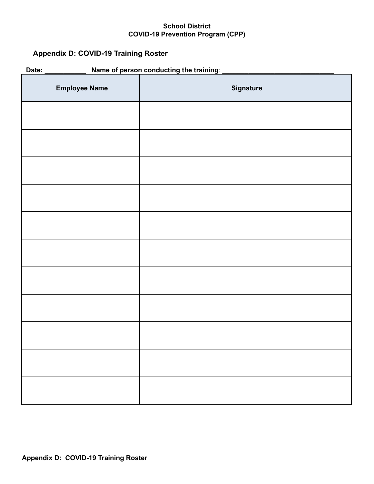## <span id="page-25-0"></span>**Appendix D: COVID-19 Training Roster**

| Name of person conducting the training:<br>Date: |                  |  |
|--------------------------------------------------|------------------|--|
| <b>Employee Name</b>                             | <b>Signature</b> |  |
|                                                  |                  |  |
|                                                  |                  |  |
|                                                  |                  |  |
|                                                  |                  |  |
|                                                  |                  |  |
|                                                  |                  |  |
|                                                  |                  |  |
|                                                  |                  |  |
|                                                  |                  |  |
|                                                  |                  |  |
|                                                  |                  |  |
|                                                  |                  |  |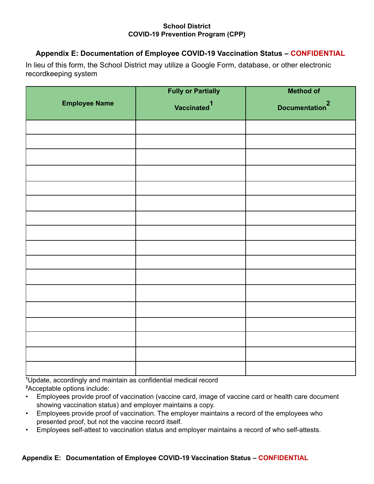## <span id="page-26-0"></span>**Appendix E: Documentation of Employee COVID-19 Vaccination Status – CONFIDENTIAL**

In lieu of this form, the School District may utilize a Google Form, database, or other electronic recordkeeping system

|                      | <b>Fully or Partially</b> | <b>Method of</b>           |
|----------------------|---------------------------|----------------------------|
| <b>Employee Name</b> | Vaccinated <sup>1</sup>   | Documentation <sup>2</sup> |
|                      |                           |                            |
|                      |                           |                            |
|                      |                           |                            |
|                      |                           |                            |
|                      |                           |                            |
|                      |                           |                            |
|                      |                           |                            |
|                      |                           |                            |
|                      |                           |                            |
|                      |                           |                            |
|                      |                           |                            |
|                      |                           |                            |
|                      |                           |                            |
|                      |                           |                            |
|                      |                           |                            |
|                      |                           |                            |
|                      |                           |                            |

**<sup>1</sup>**Update, accordingly and maintain as confidential medical record **<sup>2</sup>**Acceptable options include:

- Employees provide proof of vaccination (vaccine card, image of vaccine card or health care document showing vaccination status) and employer maintains a copy.
- Employees provide proof of vaccination. The employer maintains a record of the employees who presented proof, but not the vaccine record itself.
- Employees self-attest to vaccination status and employer maintains a record of who self-attests.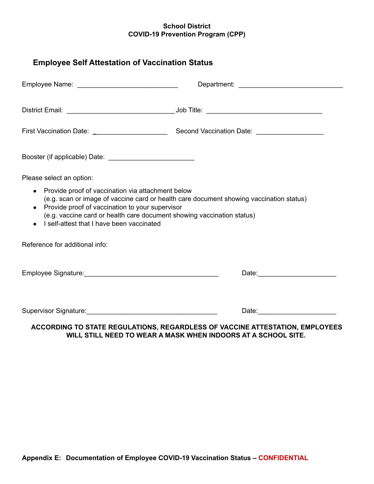<span id="page-27-0"></span>

| Please select an option:                                                                                                                            |                                                                                                                                                                   |
|-----------------------------------------------------------------------------------------------------------------------------------------------------|-------------------------------------------------------------------------------------------------------------------------------------------------------------------|
|                                                                                                                                                     |                                                                                                                                                                   |
| Provide proof of vaccination via attachment below<br>• Provide proof of vaccination to your supervisor<br>I self-attest that I have been vaccinated | (e.g. scan or image of vaccine card or health care document showing vaccination status)<br>(e.g. vaccine card or health care document showing vaccination status) |
|                                                                                                                                                     |                                                                                                                                                                   |
| Reference for additional info:                                                                                                                      |                                                                                                                                                                   |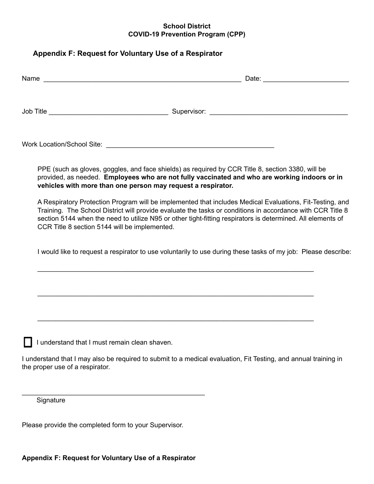## <span id="page-28-0"></span>**Appendix F: Request for Voluntary Use of a Respirator**

| Name                                                           |  |
|----------------------------------------------------------------|--|
| Job Title<br><u> 1989 - Johann Barbara, martxa alemaniar a</u> |  |
| <b>Work Location/School Site:</b>                              |  |

PPE (such as gloves, goggles, and face shields) as required by CCR Title 8, section 3380, will be provided, as needed. **Employees who are not fully vaccinated and who are working indoors or in vehicles with more than one person may request a respirator.**

A Respiratory Protection Program will be implemented that includes Medical Evaluations, Fit-Testing, and Training. The School District will provide evaluate the tasks or conditions in accordance with CCR Title 8 section 5144 when the need to utilize N95 or other tight-fitting respirators is determined. All elements of CCR Title 8 section 5144 will be implemented.

I would like to request a respirator to use voluntarily to use during these tasks of my job: Please describe:

\_\_\_\_\_\_\_\_\_\_\_\_\_\_\_\_\_\_\_\_\_\_\_\_\_\_\_\_\_\_\_\_\_\_\_\_\_\_\_\_\_\_\_\_\_\_\_\_\_\_\_\_\_\_\_\_\_\_\_\_\_\_\_\_\_\_\_\_\_\_\_\_\_\_

\_\_\_\_\_\_\_\_\_\_\_\_\_\_\_\_\_\_\_\_\_\_\_\_\_\_\_\_\_\_\_\_\_\_\_\_\_\_\_\_\_\_\_\_\_\_\_\_\_\_\_\_\_\_\_\_\_\_\_\_\_\_\_\_\_\_\_\_\_\_\_\_\_\_

\_\_\_\_\_\_\_\_\_\_\_\_\_\_\_\_\_\_\_\_\_\_\_\_\_\_\_\_\_\_\_\_\_\_\_\_\_\_\_\_\_\_\_\_\_\_\_\_\_\_\_\_\_\_\_\_\_\_\_\_\_\_\_\_\_\_\_\_\_\_\_\_\_\_

I understand that I must remain clean shaven.

I understand that I may also be required to submit to a medical evaluation, Fit Testing, and annual training in the proper use of a respirator.

**Signature** 

Please provide the completed form to your Supervisor.

\_\_\_\_\_\_\_\_\_\_\_\_\_\_\_\_\_\_\_\_\_\_\_\_\_\_\_\_\_\_\_\_\_\_\_\_\_\_\_\_\_\_\_\_\_\_\_\_\_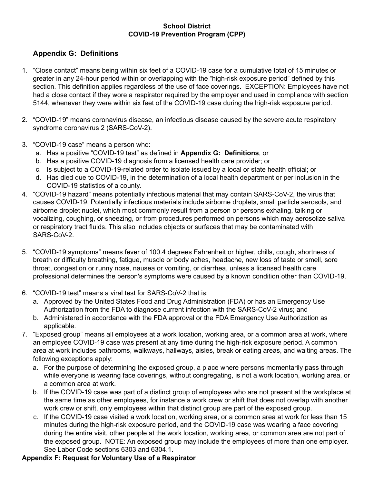## <span id="page-29-0"></span>**Appendix G: Definitions**

- 1. "Close contact" means being within six feet of a COVID-19 case for a cumulative total of 15 minutes or greater in any 24-hour period within or overlapping with the "high-risk exposure period" defined by this section. This definition applies regardless of the use of face coverings. EXCEPTION: Employees have not had a close contact if they wore a respirator required by the employer and used in compliance with section 5144, whenever they were within six feet of the COVID-19 case during the high-risk exposure period.
- 2. "COVID-19" means coronavirus disease, an infectious disease caused by the severe acute respiratory syndrome coronavirus 2 (SARS-CoV-2).
- 3. "COVID-19 case" means a person who:
	- a. Has a positive "COVID-19 test" as defined in **Appendix G: Definitions**, or
	- b. Has a positive COVID-19 diagnosis from a licensed health care provider; or
	- c. Is subject to a COVID-19-related order to isolate issued by a local or state health official; or
	- d. Has died due to COVID-19, in the determination of a local health department or per inclusion in the COVID-19 statistics of a county.
- 4. "COVID-19 hazard" means potentially infectious material that may contain SARS-CoV-2, the virus that causes COVID-19. Potentially infectious materials include airborne droplets, small particle aerosols, and airborne droplet nuclei, which most commonly result from a person or persons exhaling, talking or vocalizing, coughing, or sneezing, or from procedures performed on persons which may aerosolize saliva or respiratory tract fluids. This also includes objects or surfaces that may be contaminated with SARS-CoV-2.
- 5. "COVID-19 symptoms" means fever of 100.4 degrees Fahrenheit or higher, chills, cough, shortness of breath or difficulty breathing, fatigue, muscle or body aches, headache, new loss of taste or smell, sore throat, congestion or runny nose, nausea or vomiting, or diarrhea, unless a licensed health care professional determines the person's symptoms were caused by a known condition other than COVID-19.
- 6. "COVID-19 test" means a viral test for SARS-CoV-2 that is:
	- a. Approved by the United States Food and Drug Administration (FDA) or has an Emergency Use Authorization from the FDA to diagnose current infection with the SARS-CoV-2 virus; and
	- b. Administered in accordance with the FDA approval or the FDA Emergency Use Authorization as applicable.
- 7. "Exposed group" means all employees at a work location, working area, or a common area at work, where an employee COVID-19 case was present at any time during the high-risk exposure period. A common area at work includes bathrooms, walkways, hallways, aisles, break or eating areas, and waiting areas. The following exceptions apply:
	- a. For the purpose of determining the exposed group, a place where persons momentarily pass through while everyone is wearing face coverings, without congregating, is not a work location, working area, or a common area at work.
	- b. If the COVID-19 case was part of a distinct group of employees who are not present at the workplace at the same time as other employees, for instance a work crew or shift that does not overlap with another work crew or shift, only employees within that distinct group are part of the exposed group.
	- c. If the COVID-19 case visited a work location, working area, or a common area at work for less than 15 minutes during the high-risk exposure period, and the COVID-19 case was wearing a face covering during the entire visit, other people at the work location, working area, or common area are not part of the exposed group. NOTE: An exposed group may include the employees of more than one employer. See Labor Code sections 6303 and 6304.1.

#### **Appendix F: Request for Voluntary Use of a Respirator**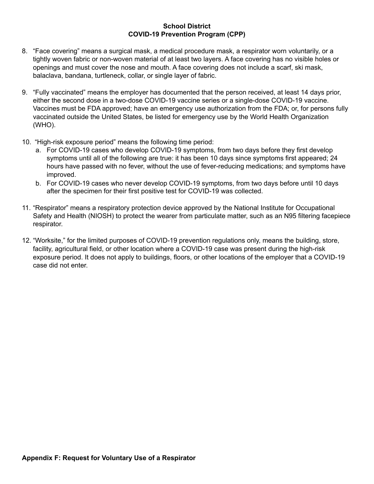- 8. "Face covering" means a surgical mask, a medical procedure mask, a respirator worn voluntarily, or a tightly woven fabric or non-woven material of at least two layers. A face covering has no visible holes or openings and must cover the nose and mouth. A face covering does not include a scarf, ski mask, balaclava, bandana, turtleneck, collar, or single layer of fabric.
- 9. "Fully vaccinated" means the employer has documented that the person received, at least 14 days prior, either the second dose in a two-dose COVID-19 vaccine series or a single-dose COVID-19 vaccine. Vaccines must be FDA approved; have an emergency use authorization from the FDA; or, for persons fully vaccinated outside the United States, be listed for emergency use by the World Health Organization (WHO).
- 10. "High-risk exposure period" means the following time period:
	- a. For COVID-19 cases who develop COVID-19 symptoms, from two days before they first develop symptoms until all of the following are true: it has been 10 days since symptoms first appeared; 24 hours have passed with no fever, without the use of fever-reducing medications; and symptoms have improved.
	- b. For COVID-19 cases who never develop COVID-19 symptoms, from two days before until 10 days after the specimen for their first positive test for COVID-19 was collected.
- 11. "Respirator" means a respiratory protection device approved by the National Institute for Occupational Safety and Health (NIOSH) to protect the wearer from particulate matter, such as an N95 filtering facepiece respirator.
- 12. "Worksite," for the limited purposes of COVID-19 prevention regulations only, means the building, store, facility, agricultural field, or other location where a COVID-19 case was present during the high-risk exposure period. It does not apply to buildings, floors, or other locations of the employer that a COVID-19 case did not enter.